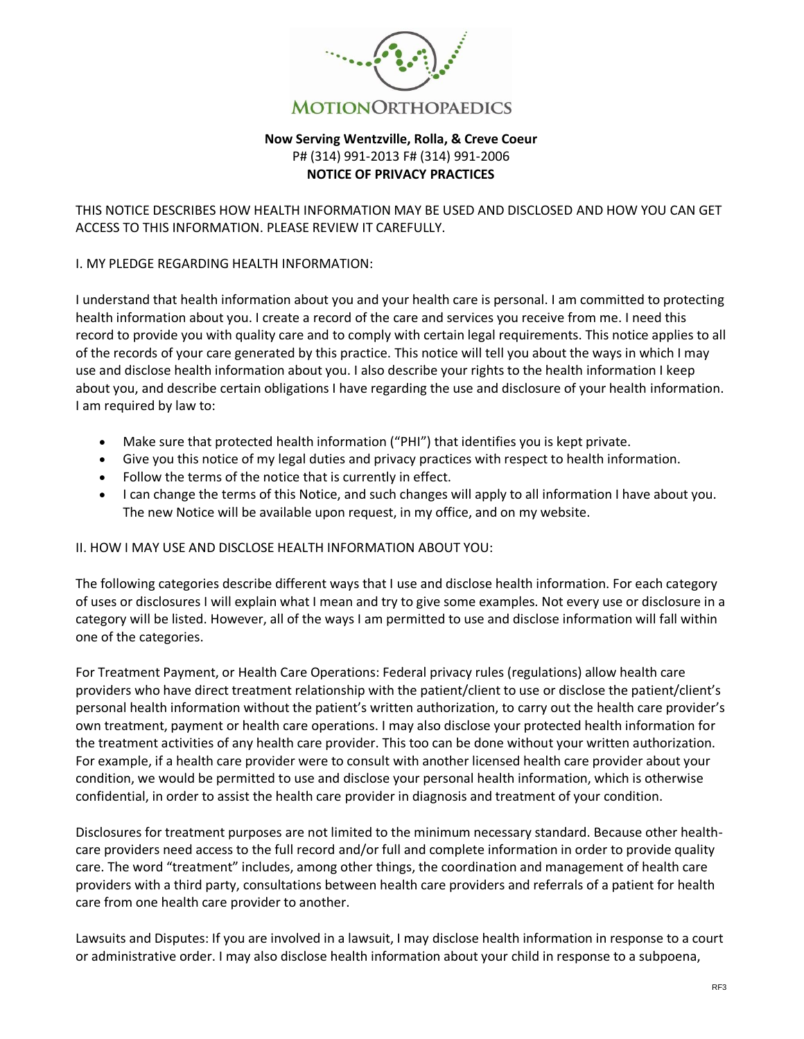

## **Now Serving Wentzville, Rolla, & Creve Coeur** P# (314) 991-2013 F# (314) 991-2006 **NOTICE OF PRIVACY PRACTICES**

THIS NOTICE DESCRIBES HOW HEALTH INFORMATION MAY BE USED AND DISCLOSED AND HOW YOU CAN GET ACCESS TO THIS INFORMATION. PLEASE REVIEW IT CAREFULLY.

#### I. MY PLEDGE REGARDING HEALTH INFORMATION:

I understand that health information about you and your health care is personal. I am committed to protecting health information about you. I create a record of the care and services you receive from me. I need this record to provide you with quality care and to comply with certain legal requirements. This notice applies to all of the records of your care generated by this practice. This notice will tell you about the ways in which I may use and disclose health information about you. I also describe your rights to the health information I keep about you, and describe certain obligations I have regarding the use and disclosure of your health information. I am required by law to:

- Make sure that protected health information ("PHI") that identifies you is kept private.
- Give you this notice of my legal duties and privacy practices with respect to health information.
- Follow the terms of the notice that is currently in effect.
- I can change the terms of this Notice, and such changes will apply to all information I have about you. The new Notice will be available upon request, in my office, and on my website.

#### II. HOW I MAY USE AND DISCLOSE HEALTH INFORMATION ABOUT YOU:

The following categories describe different ways that I use and disclose health information. For each category of uses or disclosures I will explain what I mean and try to give some examples. Not every use or disclosure in a category will be listed. However, all of the ways I am permitted to use and disclose information will fall within one of the categories.

For Treatment Payment, or Health Care Operations: Federal privacy rules (regulations) allow health care providers who have direct treatment relationship with the patient/client to use or disclose the patient/client's personal health information without the patient's written authorization, to carry out the health care provider's own treatment, payment or health care operations. I may also disclose your protected health information for the treatment activities of any health care provider. This too can be done without your written authorization. For example, if a health care provider were to consult with another licensed health care provider about your condition, we would be permitted to use and disclose your personal health information, which is otherwise confidential, in order to assist the health care provider in diagnosis and treatment of your condition.

Disclosures for treatment purposes are not limited to the minimum necessary standard. Because other healthcare providers need access to the full record and/or full and complete information in order to provide quality care. The word "treatment" includes, among other things, the coordination and management of health care providers with a third party, consultations between health care providers and referrals of a patient for health care from one health care provider to another.

Lawsuits and Disputes: If you are involved in a lawsuit, I may disclose health information in response to a court or administrative order. I may also disclose health information about your child in response to a subpoena,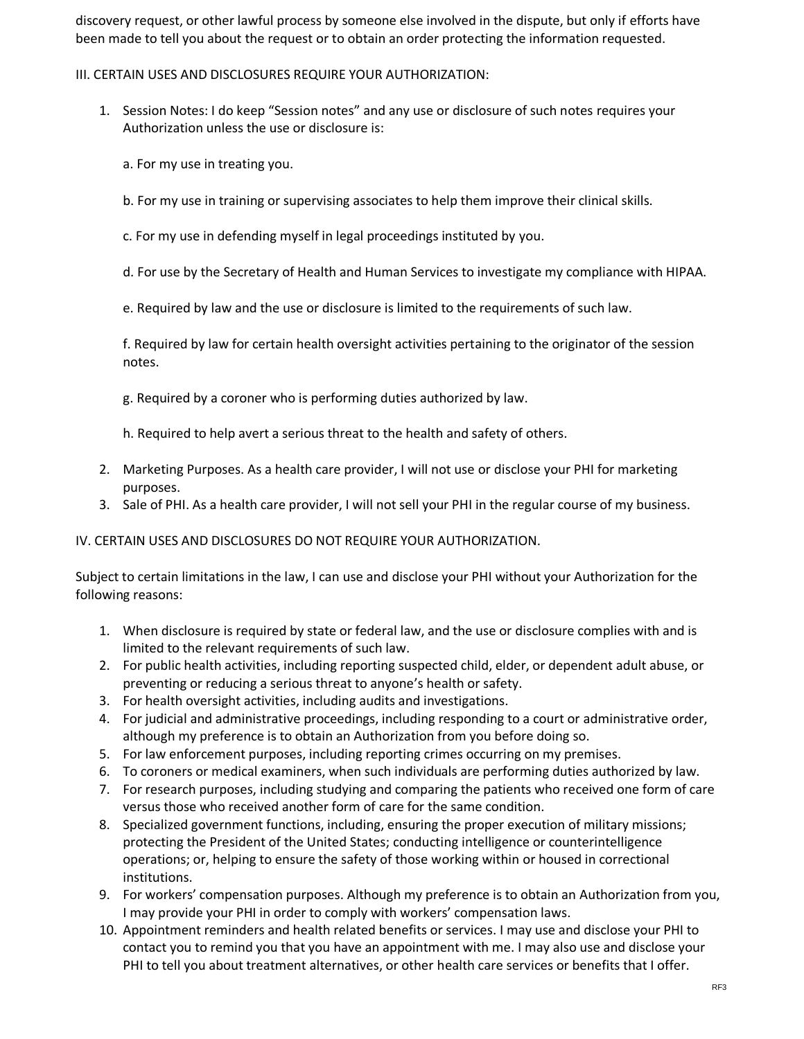discovery request, or other lawful process by someone else involved in the dispute, but only if efforts have been made to tell you about the request or to obtain an order protecting the information requested.

## III. CERTAIN USES AND DISCLOSURES REQUIRE YOUR AUTHORIZATION:

- 1. Session Notes: I do keep "Session notes" and any use or disclosure of such notes requires your Authorization unless the use or disclosure is:
	- a. For my use in treating you.
	- b. For my use in training or supervising associates to help them improve their clinical skills.
	- c. For my use in defending myself in legal proceedings instituted by you.
	- d. For use by the Secretary of Health and Human Services to investigate my compliance with HIPAA.
	- e. Required by law and the use or disclosure is limited to the requirements of such law.

f. Required by law for certain health oversight activities pertaining to the originator of the session notes.

g. Required by a coroner who is performing duties authorized by law.

h. Required to help avert a serious threat to the health and safety of others.

- 2. Marketing Purposes. As a health care provider, I will not use or disclose your PHI for marketing purposes.
- 3. Sale of PHI. As a health care provider, I will not sell your PHI in the regular course of my business.

#### IV. CERTAIN USES AND DISCLOSURES DO NOT REQUIRE YOUR AUTHORIZATION.

Subject to certain limitations in the law, I can use and disclose your PHI without your Authorization for the following reasons:

- 1. When disclosure is required by state or federal law, and the use or disclosure complies with and is limited to the relevant requirements of such law.
- 2. For public health activities, including reporting suspected child, elder, or dependent adult abuse, or preventing or reducing a serious threat to anyone's health or safety.
- 3. For health oversight activities, including audits and investigations.
- 4. For judicial and administrative proceedings, including responding to a court or administrative order, although my preference is to obtain an Authorization from you before doing so.
- 5. For law enforcement purposes, including reporting crimes occurring on my premises.
- 6. To coroners or medical examiners, when such individuals are performing duties authorized by law.
- 7. For research purposes, including studying and comparing the patients who received one form of care versus those who received another form of care for the same condition.
- 8. Specialized government functions, including, ensuring the proper execution of military missions; protecting the President of the United States; conducting intelligence or counterintelligence operations; or, helping to ensure the safety of those working within or housed in correctional institutions.
- 9. For workers' compensation purposes. Although my preference is to obtain an Authorization from you, I may provide your PHI in order to comply with workers' compensation laws.
- 10. Appointment reminders and health related benefits or services. I may use and disclose your PHI to contact you to remind you that you have an appointment with me. I may also use and disclose your PHI to tell you about treatment alternatives, or other health care services or benefits that I offer.